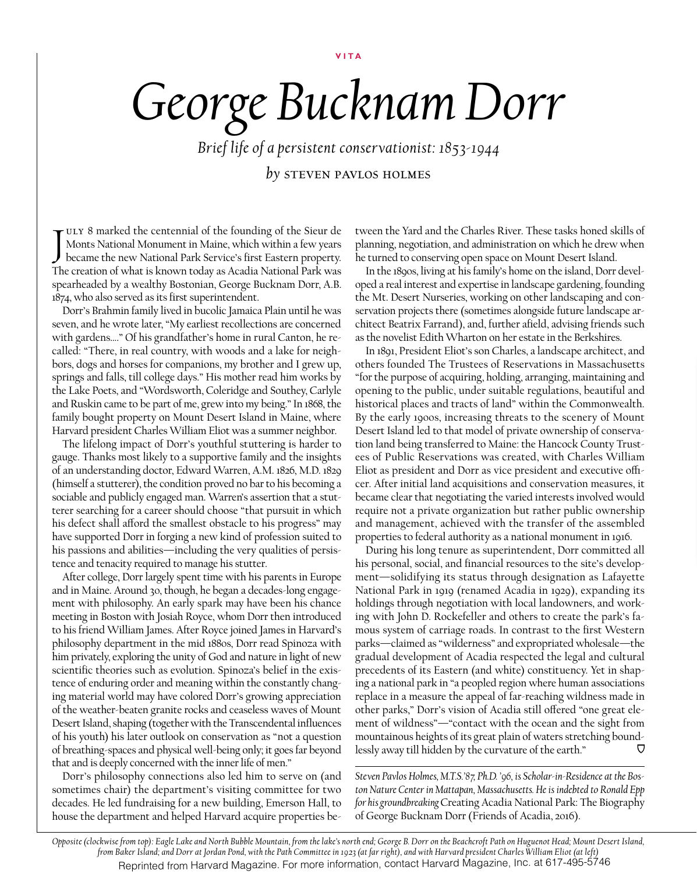## **VITA**

## *George Bucknam Dorr*

*Brief life of a persistent conservationist: 1853-1944*

*by* steven pavlos holmes

JULY 8 marked the centennial of the founding of the Sieur de<br>Monts National Monument in Maine, which within a few years<br>became the new National Park Service's first Eastern property. ULY 8 marked the centennial of the founding of the Sieur de Monts National Monument in Maine, which within a few years The creation of what is known today as Acadia National Park was spearheaded by a wealthy Bostonian, George Bucknam Dorr, A.B. 1874, who also served as its first superintendent.

Dorr's Brahmin family lived in bucolic Jamaica Plain until he was seven, and he wrote later, "My earliest recollections are concerned with gardens…." Of his grandfather's home in rural Canton, he recalled: "There, in real country, with woods and a lake for neighbors, dogs and horses for companions, my brother and I grew up, springs and falls, till college days." His mother read him works by the Lake Poets, and "Wordsworth, Coleridge and Southey, Carlyle and Ruskin came to be part of me, grew into my being." In 1868, the family bought property on Mount Desert Island in Maine, where Harvard president Charles William Eliot was a summer neighbor.

The lifelong impact of Dorr's youthful stuttering is harder to gauge. Thanks most likely to a supportive family and the insights of an understanding doctor, Edward Warren, A.M. 1826, M.D. 1829 (himself a stutterer), the condition proved no bar to his becoming a sociable and publicly engaged man. Warren's assertion that a stutterer searching for a career should choose "that pursuit in which his defect shall afford the smallest obstacle to his progress" may have supported Dorr in forging a new kind of profession suited to his passions and abilities—including the very qualities of persistence and tenacity required to manage his stutter.

After college, Dorr largely spent time with his parents in Europe and in Maine. Around 30, though, he began a decades-long engagement with philosophy. An early spark may have been his chance meeting in Boston with Josiah Royce, whom Dorr then introduced to his friend William James. After Royce joined James in Harvard's philosophy department in the mid 1880s, Dorr read Spinoza with him privately, exploring the unity of God and nature in light of new scientific theories such as evolution. Spinoza's belief in the existence of enduring order and meaning within the constantly changing material world may have colored Dorr's growing appreciation of the weather-beaten granite rocks and ceaseless waves of Mount Desert Island, shaping (together with the Transcendental influences of his youth) his later outlook on conservation as "not a question of breathing-spaces and physical well-being only; it goes far beyond that and is deeply concerned with the inner life of men."

Dorr's philosophy connections also led him to serve on (and sometimes chair) the department's visiting committee for two decades. He led fundraising for a new building, Emerson Hall, to house the department and helped Harvard acquire properties between the Yard and the Charles River. These tasks honed skills of planning, negotiation, and administration on which he drew when he turned to conserving open space on Mount Desert Island.

In the 1890s, living at his family's home on the island, Dorr developed a real interest and expertise in landscape gardening, founding the Mt. Desert Nurseries, working on other landscaping and conservation projects there (sometimes alongside future landscape architect Beatrix Farrand), and, further afield, advising friends such as the novelist Edith Wharton on her estate in the Berkshires.

In 1891, President Eliot's son Charles, a landscape architect, and others founded The Trustees of Reservations in Massachusetts "for the purpose of acquiring, holding, arranging, maintaining and opening to the public, under suitable regulations, beautiful and historical places and tracts of land" within the Commonwealth. By the early 1900s, increasing threats to the scenery of Mount Desert Island led to that model of private ownership of conservation land being transferred to Maine: the Hancock County Trustees of Public Reservations was created, with Charles William Eliot as president and Dorr as vice president and executive officer. After initial land acquisitions and conservation measures, it became clear that negotiating the varied interests involved would require not a private organization but rather public ownership and management, achieved with the transfer of the assembled properties to federal authority as a national monument in 1916.

During his long tenure as superintendent, Dorr committed all his personal, social, and financial resources to the site's development—solidifying its status through designation as Lafayette National Park in 1919 (renamed Acadia in 1929), expanding its holdings through negotiation with local landowners, and working with John D. Rockefeller and others to create the park's famous system of carriage roads. In contrast to the first Western parks—claimed as "wilderness" and expropriated wholesale—the gradual development of Acadia respected the legal and cultural precedents of its Eastern (and white) constituency. Yet in shaping a national park in "a peopled region where human associations replace in a measure the appeal of far-reaching wildness made in other parks," Dorr's vision of Acadia still offered "one great element of wildness"—"contact with the ocean and the sight from mountainous heights of its great plain of waters stretching boundlessly away till hidden by the curvature of the earth." U

*Steven Pavlos Holmes, M.T.S.'87, Ph.D. '96, is Scholar-in-Residence at the Boston Nature Center in Mattapan, Massachusetts. He is indebted to Ronald Epp for his groundbreaking* Creating Acadia National Park: The Biography of George Bucknam Dorr (Friends of Acadia, 2016).

*Opposite (clockwise from top): Eagle Lake and North Bubble Mountain, from the lake's north end; George B. Dorr on the Beachcroft Path on Huguenot Head; Mount Desert Island, from Baker Island; and Dorr at Jordan Pond, with the Path Committee in 1923 (at far right), and with Harvard president Charles William Eliot (at left)* Reprinted from Harvard Magazine. For more information, contact Harvard Magazine, Inc. at 617-495-5746